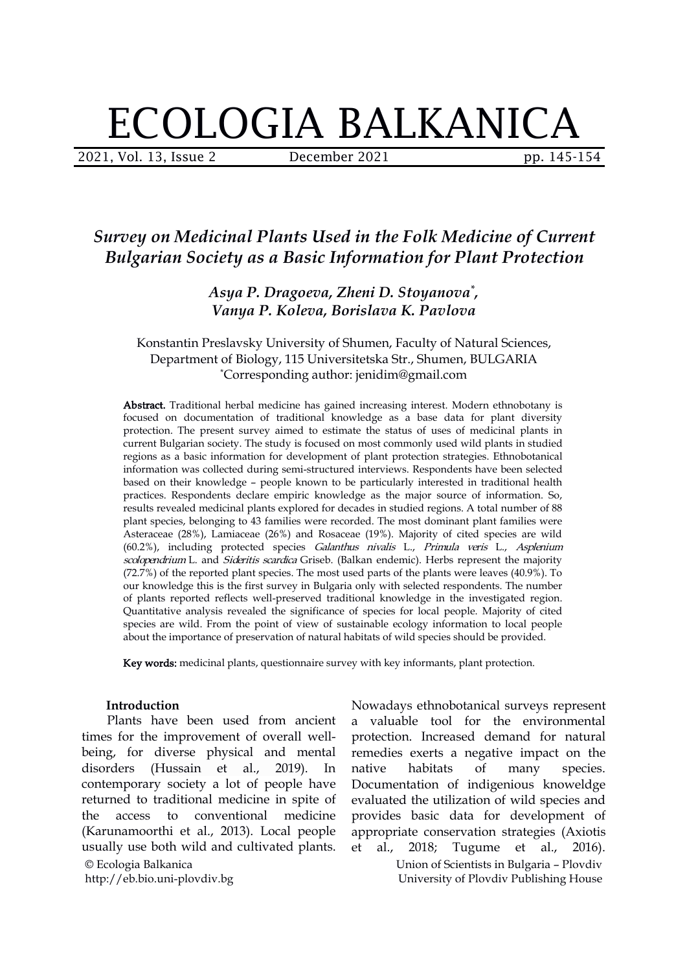# ECOLOGIA BALKANICA

2021, Vol. 13, Issue 2 **December 2021** pp. 145-154

## *Survey on Medicinal Plants Used in the Folk Medicine of Current Bulgarian Society as a Basic Information for Plant Protection*

#### *Asya P. Dragoeva, Zheni D. Stoyanova \* , Vanya P. Koleva, Borislava K. Pavlova*

#### Konstantin Preslavsky University of Shumen, Faculty of Natural Sciences, Department of Biology, 115 Universitetska Str., Shumen, BULGARIA \*Corresponding author: [jenidim@gmail.com](mailto:jenidim@gmail.com)

Abstract. Traditional herbal medicine has gained increasing interest. Modern ethnobotany is focused on documentation of traditional knowledge as a base data for [plant](https://www.sciencedirect.com/topics/pharmacology-toxicology-and-pharmaceutical-science/endangered-species) diversity protection. The present survey aimed to estimate the status of uses of medicinal plants in current Bulgarian society. The study is focused on most commonly used wild plants in studied regions as a basic information for development of plant protection strategies. Ethnobotanical information was collected during semi-structured interviews. Respondents have been selected based on their knowledge – people known to be particularly interested in traditional health practices. Respondents declare empiric knowledge as the major source of information. So, results revealed medicinal plants explored for decades in studied regions. A total number of88 plant species, belonging to 43 families were recorded. The most dominant plant families were Asteraceae (28%), Lamiaceae (26%) and Rosaceae (19%). Majority of cited species are wild (60.2%), including protected species Galanthus nivalis L., Primula veris L., Asplenium scolopendrium L. and Sideritis scardica Griseb. (Balkan endemic). Herbs represent the majority (72.7%) of the reported plant species. The most used parts of the plants were leaves (40.9%). To our knowledge this is the first survey in Bulgaria only with selected respondents. The number of plants reported reflects well-preserved traditional knowledge in the investigated region. Quantitative analysis revealed the significance of species for local people. Majority of cited species are wild. From the point of view of sustainable ecology information to local people about the importance of preservation of natural habitats of wild species should be provided.

Key words: medicinal plants, questionnaire survey with key informants, plant protection.

#### **Introduction**

© Ecologia Balkanica http://eb.bio.uni-plovdiv.bg Plants have been used from ancient times for the improvement of overall well being, for diverse physical and mental disorders (Hussain et al., 2019). In contemporary society a lot of people have returned to traditional medicine in spite of the access to conventional medicine (Karunamoorthi et al., 2013). Local people usually use both wild and cultivated plants. et al., 2018;

Nowadays ethnobotanical surveys represent a valuable tool for the environmental protection. Increased demand for natural remedies exerts a negative impact on the habitats of many species. Documentation of indigenious knoweldge evaluated the utilization of wild species and provides basic data for development of appropriate conservation strategies (Axiotis Tugume et al., 2016).

> Union of Scientists in Bulgaria – Plovdiv University of Plovdiv Publishing House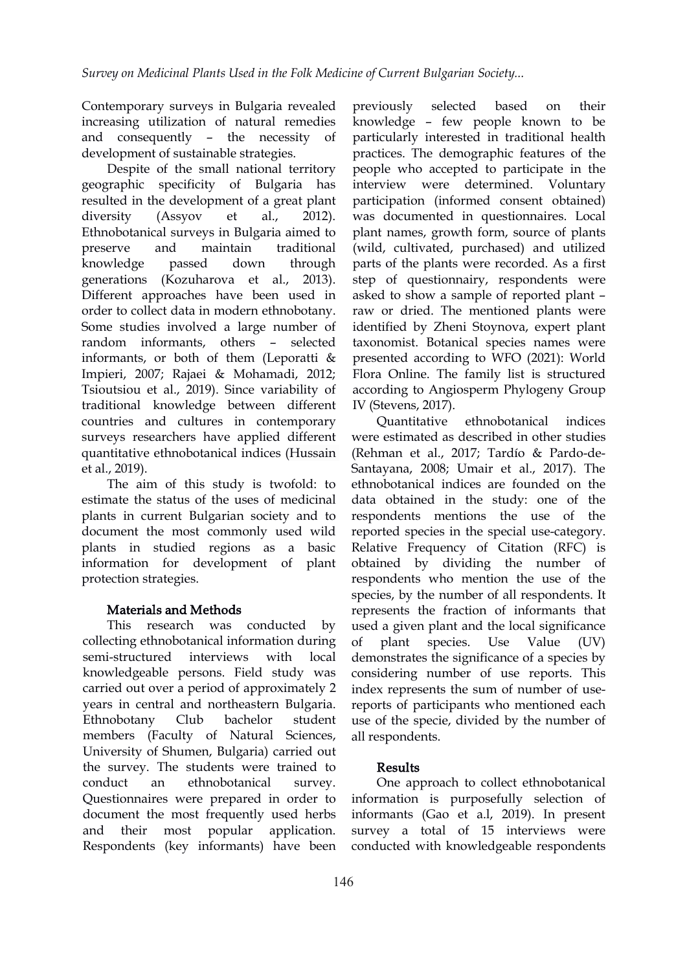Contemporary surveys in Bulgaria revealed previously selected increasing utilization of natural remedies and consequently – the necessity of development of sustainable strategies.

Despite of the small national territory geographic specificity of Bulgaria has resulted in the development of a great plant diversity (Assyov et al.,2012). Ethnobotanical surveys in Bulgaria aimed to preserve and maintain traditional knowledge passed down through parts of the plants were recorded. As a first generations (Kozuharova et al., 2013). Different approaches have been used in order to collect data in modern ethnobotany. Some studies involved a large number of random informants, others – selected informants, or both of them (Leporatti & Impieri, 2007; Rajaei & Mohamadi, 2012; Tsioutsiou et al., 2019). Since variability of traditional knowledge between different countries and cultures in contemporary surveys researchers have applied different quantitative ethnobotanical indices (Hussain et al., 2019).

The aim of this study is twofold: to estimate the status of the uses of medicinal plants in current Bulgarian society and to document the most commonly used wild plants in studied regions as a basic information for development of plant protection strategies.

### Materials and Methods

This research was conducted by collecting ethnobotanical information during semi-structured interviews with local knowledgeable persons. Field study was carried out over a period of approximately 2 years in central and northeastern Bulgaria. members (Faculty of Natural Sciences, University of Shumen, Bulgaria) carried out the survey. The students were trained to conduct an ethnobotanical survey. Questionnaires were prepared in order to document the most frequently used herbs and their most popular application. Respondents (key informants) have been

previously selected based on their knowledge – few people known to be particularly interested in traditional health practices. The demographic features of the people who accepted to participate in the interview were determined. Voluntary participation (informed consent obtained) was documented in questionnaires. Local plant names, growth form, source of plants (wild, cultivated, purchased) and utilized step of questionnairy, respondents were asked to show a sample of reported plant raw or dried. The mentioned plants were identified by Zheni Stoynova, expert plant taxonomist. Botanical species names were presented according to WFO (2021): World Flora Online. The family list is structured according to Angiosperm Phylogeny Group IV (Stevens, 2017).

Ethnobotany Club bachelor student use of the specie, divided by the number of ethnobotanical indices were estimated as described in other studies (Rehman et al., 2017; Tardío & Pardo-de- Santayana, 2008; Umair et al., 2017). The ethnobotanical indices are founded on the data obtained in the study: one of the respondents mentions the use of the reported species in the special use-category. Relative Frequency of Citation (RFC) is obtained by dividing the number of respondents who mention the use of the species, by the number of all respondents. It represents the fraction of informants that used a given plant and the local significance species. Use Value (UV) demonstrates the significance of a species by considering number of use reports. This index represents the sum of number of use reports of participants who mentioned each all respondents.

### Results

One approach to collect ethnobotanical information is purposefully selection of informants (Gao et a.l, 2019). In present survey a total of 15 interviews were conducted with knowledgeable respondents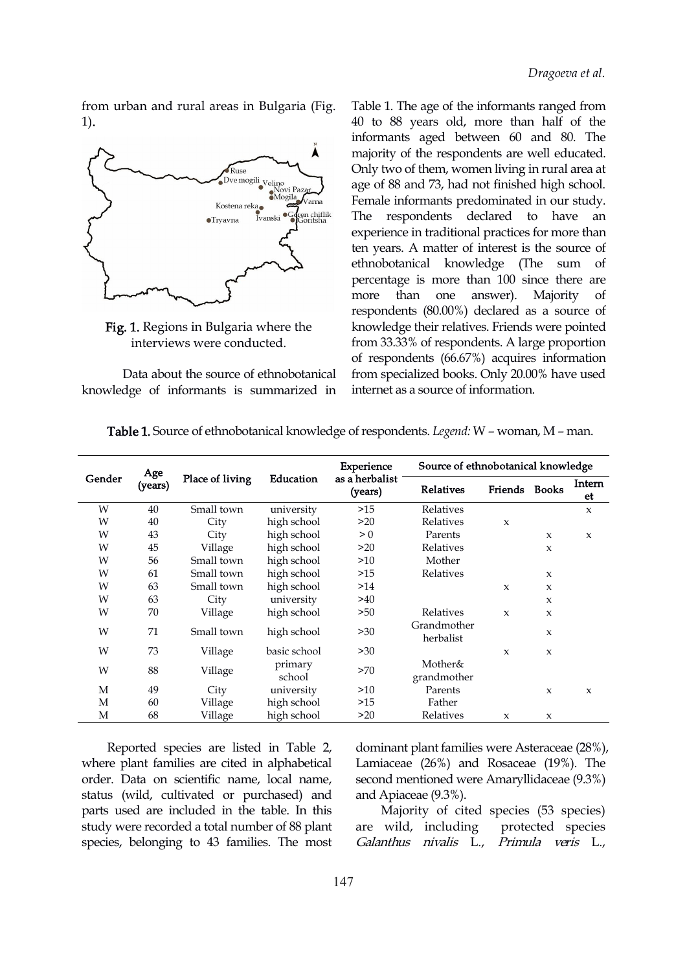from urban and rural areas in Bulgaria (Fig. 1).



Fig. 1. Regions in Bulgaria where the interviews were conducted.

Data about the source of ethnobotanical knowledge of informants is summarized in Table 1. The age of the informants ranged from 40 to 88 years old, more than half of the informants aged between 60 and 80. The majority of the respondents are well educated. Only two of them, women living in rural area at age of 88 and 73, had not finished high school. Female informants predominated in our study. The respondents declared to have an experience in traditional practices for more than ten years. A matter of interest is the source of ethnobotanical knowledge (The sum of percentage is more than 100 since there are more than one answer). Majority of respondents (80.00%) declared as a source of knowledge their relatives. Friends were pointed from 33.33% of respondents. A large proportion of respondents (66.67%) acquires information from specialized books. Only 20.00% have used internet as a source of information.

| Gender | Age<br>(years) | Place of living | Education         | Experience                | Source of ethnobotanical knowledge |                     |              |                           |  |
|--------|----------------|-----------------|-------------------|---------------------------|------------------------------------|---------------------|--------------|---------------------------|--|
|        |                |                 |                   | as a herbalist<br>(years) | <b>Relatives</b>                   | Friends             | <b>Books</b> | Intern<br>et              |  |
| W      | 40             | Small town      | university        | >15                       | Relatives                          |                     |              | $\boldsymbol{\chi}$       |  |
| W      | 40             | City            | high school       | >20                       | Relatives                          | X                   |              |                           |  |
| W      | 43             | City            | high school       | > 0                       | Parents                            |                     | X            | $\boldsymbol{\mathsf{x}}$ |  |
| W      | 45             | Village         | high school       | >20                       | Relatives                          |                     | X            |                           |  |
| W      | 56             | Small town      | high school       | >10                       | Mother                             |                     |              |                           |  |
| W      | 61             | Small town      | high school       | >15                       | Relatives                          |                     | X            |                           |  |
| W      | 63             | Small town      | high school       | >14                       |                                    | X                   | X            |                           |  |
| W      | 63             | City            | university        | >40                       |                                    |                     | X            |                           |  |
| W      | 70             | Village         | high school       | >50                       | Relatives                          | $\boldsymbol{\chi}$ | X            |                           |  |
| W      | 71             | Small town      | high school       | >30                       | Grandmother<br>herbalist           |                     | X            |                           |  |
| W      | 73             | Village         | basic school      | >30                       |                                    | $\boldsymbol{\chi}$ | X            |                           |  |
| W      | 88             | Village         | primary<br>school | >70                       | Mother&<br>grandmother             |                     |              |                           |  |
| M      | 49             | City            | university        | >10                       | Parents                            |                     | X            | $\boldsymbol{\mathsf{x}}$ |  |
| М      | 60             | Village         | high school       | >15                       | Father                             |                     |              |                           |  |
| M      | 68             | Village         | high school       | >20                       | Relatives                          | x                   | x            |                           |  |

Table 1. Source of ethnobotanical knowledge of respondents. *Legend:* W - woman, M - man.

Reported species are listed in Table 2, where plant families are cited in alphabetical order. Data on scientific name, local name, status (wild, cultivated or purchased) and parts used are included in the table. In this study were recorded a total number of 88 plant species, belonging to 43 families. The most

dominant plant families were Asteraceae (28%), Lamiaceae (26%) and Rosaceae (19%). The second mentioned were Amaryllidaceae (9.3%) and Apiaceae (9.3%).

Majority of cited species (53 species) are wild, including protected species Galanthus nivalis L., Primula veris L.,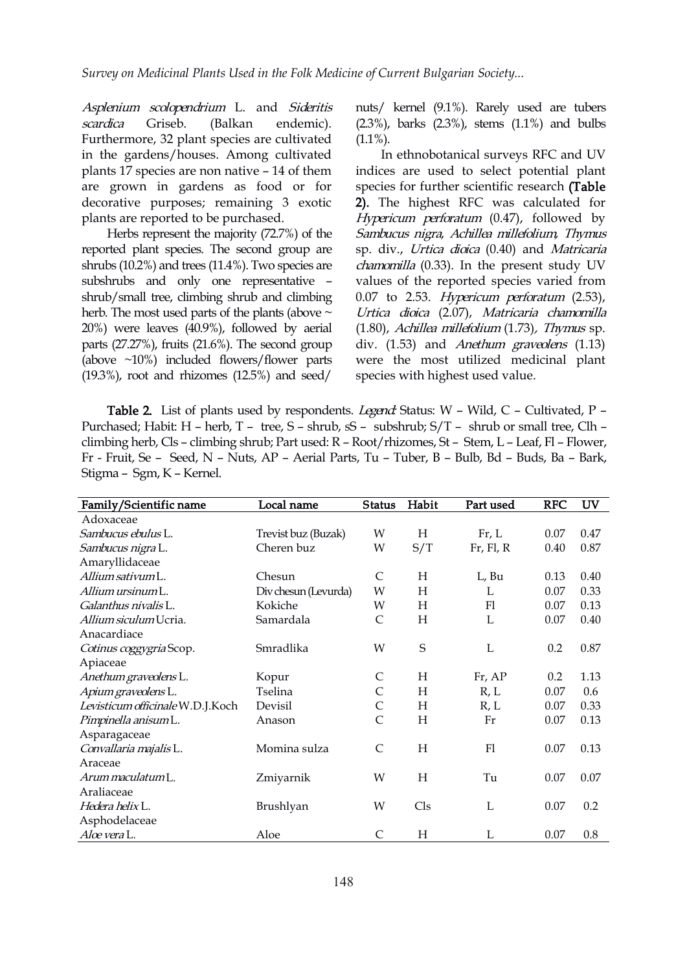Asplenium scolopendrium L. and Sideritis scardica Griseb. (Balkan endemic). Furthermore, 32 plant species are cultivated in the gardens/houses. Among cultivated plants 17 species are non native – 14 of them are grown in gardens as food or for decorative purposes; remaining 3 exotic plants are reported to be purchased.

Herbs represent the majority (72.7%) of the reported plant species. The second group are shrubs (10.2%) and trees (11.4%). Two species are subshrubs and only one representative – shrub/small tree, climbing shrub and climbing herb. The most used parts of the plants (above  $\sim$ 20%) were leaves (40.9%), followed by aerial parts (27.27%), fruits (21.6%). The second group (above ~10%) included flowers/flower parts (19.3%), root and rhizomes (12.5%) and seed/

nuts/ kernel (9.1%). Rarely used are tubers  $(2.3\%)$ , barks  $(2.3\%)$ , stems  $(1.1\%)$  and bulbs  $(1.1\%)$ .

In ethnobotanical surveys RFC and UV indices are used to select potential plant species for further scientific research (Table 2). The highest RFC was calculated for Hypericum perforatum (0.47), followed by Sambucus nigra, Achillea millefolium, Thymus sp. div., Urtica dioica (0.40) and Matricaria chamomilla (0.33). In the present study UV values of the reported species varied from 0.07 to 2.53. Hypericum perforatum (2.53), Urtica dioica (2.07), Matricaria chamomilla (1.80), Achillea millefolium (1.73), Thymus sp. div. (1.53) and *Anethum graveolens* (1.13) were the most utilized medicinal plant species with highest used value.

Table 2. List of plants used by respondents. Legend: Status: W - Wild, C - Cultivated, P -Purchased; Habit: H – herb, T – tree, S – shrub, sS – subshrub; S/T – shrub or small tree, Clh – climbing herb, Cls – climbing shrub; Part used: R – Root/rhizomes, St – Stem, L – Leaf, Fl – Flower, Fr - Fruit, Se – Seed, N – Nuts, AP – Aerial Parts, Tu – Tuber, B – Bulb, Bd – Buds, Ba – Bark, Stigma – Sgm, K – Kernel.

| Family/Scientific name           | Local name           | <b>Status</b>  | Habit       | Part used         | <b>RFC</b> | <b>UV</b> |
|----------------------------------|----------------------|----------------|-------------|-------------------|------------|-----------|
| Adoxaceae                        |                      |                |             |                   |            |           |
| Sambucus ebulus L.               | Trevist buz (Buzak)  | W              | H           | Fr, L             | 0.07       | 0.47      |
| Sambucus nigra L.                | Cheren buz           | W              | S/T         | $Fr$ , $Fl$ , $R$ | 0.40       | 0.87      |
| Amaryllidaceae                   |                      |                |             |                   |            |           |
| Allium sativum L.                | Chesun               | $\mathsf{C}$   | H           | L, Bu             | 0.13       | 0.40      |
| Allium ursinum L.                | Div chesun (Levurda) | W              | H           | L                 | 0.07       | 0.33      |
| Galanthus nivalis L.             | Kokiche              | W              | H           | Fl                | 0.07       | 0.13      |
| Allium siculum Ucria.            | Samardala            | $\mathsf{C}$   | H           | L                 | 0.07       | 0.40      |
| Anacardiace                      |                      |                |             |                   |            |           |
| Cotinus coggygria Scop.          | Smradlika            | W              | $\mathbf S$ | L                 | 0.2        | 0.87      |
| Apiaceae                         |                      |                |             |                   |            |           |
| Anethum graveolens L.            | Kopur                | $\mathsf{C}$   | H           | Fr, AP            | 0.2        | 1.13      |
| Apium graveolens L.              | Tselina              | $\mathsf{C}$   | H           | R, L              | 0.07       | 0.6       |
| Levisticum officinale W.D.J.Koch | Devisil              | $\mathsf C$    | Н           | R, L              | 0.07       | 0.33      |
| Pimpinella anisum L.             | Anason               | $\overline{C}$ | H           | Fr                | 0.07       | 0.13      |
| Asparagaceae                     |                      |                |             |                   |            |           |
| Convallaria majalis L.           | Momina sulza         | $\mathsf{C}$   | H           | F1                | 0.07       | 0.13      |
| Araceae                          |                      |                |             |                   |            |           |
| Arum maculatum L.                | Zmiyarnik            | W              | H           | Tu                | 0.07       | 0.07      |
| Araliaceae                       |                      |                |             |                   |            |           |
| <i>Hedera helix</i> L.           | Brushlyan            | W              | Cls         | L                 | 0.07       | 0.2       |
| Asphodelaceae                    |                      |                |             |                   |            |           |
| Aloe vera L.                     | Aloe                 | $\mathsf{C}$   | H           | L                 | 0.07       | 0.8       |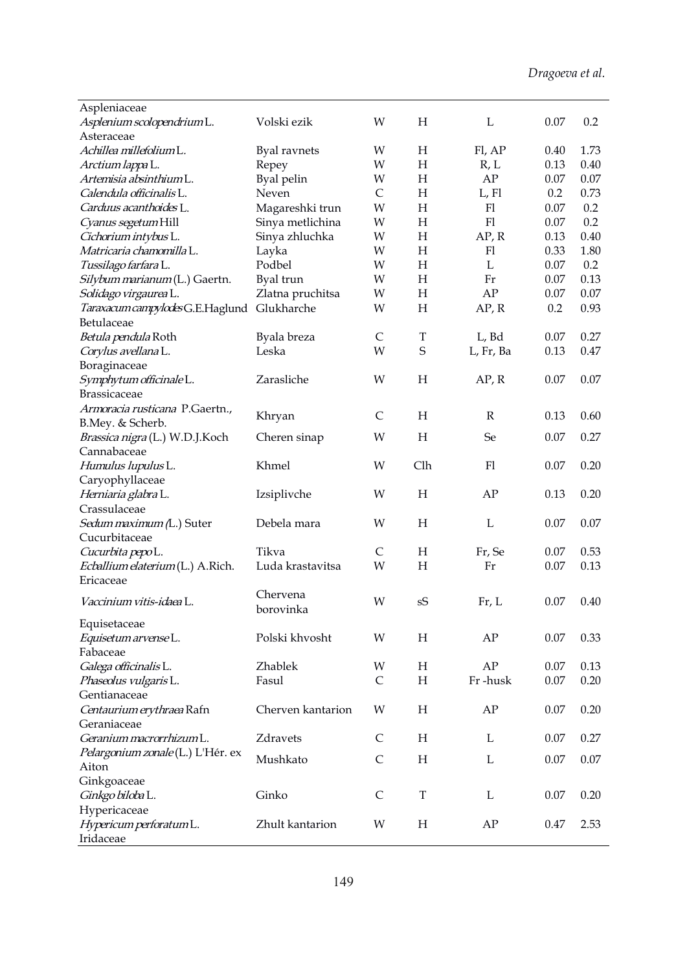| Aspleniaceae                            |                     |              |                           |              |      |      |
|-----------------------------------------|---------------------|--------------|---------------------------|--------------|------|------|
| Asplenium scolopendrium L.              | Volski ezik         | W            | H                         | L            | 0.07 | 0.2  |
| Asteraceae                              |                     |              |                           |              |      |      |
| Achillea millefoliumL.                  | <b>Byal</b> ravnets | W            | H                         | Fl, AP       | 0.40 | 1.73 |
| Arctium lappa L.                        | Repey               | W            | H                         | R, L         | 0.13 | 0.40 |
| Artemisia absinthium L.                 | Byal pelin          | W            | H                         | AP           | 0.07 | 0.07 |
| Calendula officinalis L.                | Neven               | $\mathsf{C}$ | H                         | $L$ , $F1$   | 0.2  | 0.73 |
| Carduus acanthoides L.                  | Magareshki trun     | W            | H                         | F1           | 0.07 | 0.2  |
| Cyanus segetum Hill                     | Sinya metlichina    | W            | H                         | F1           | 0.07 | 0.2  |
| Cichorium intybus L.                    | Sinya zhluchka      | W            | H                         | AP, R        | 0.13 | 0.40 |
| Matricaria chamomilla L.                | Layka               | W            | H                         | F1           | 0.33 | 1.80 |
| Tussilago farfara L.                    | Podbel              | W            | H                         | L            | 0.07 | 0.2  |
| Silybum marianum (L.) Gaertn.           | Byal trun           | W            | H                         | Fr           | 0.07 | 0.13 |
| Solidago virgaurea L.                   | Zlatna pruchitsa    | W            | H                         | AP           | 0.07 | 0.07 |
|                                         | Glukharche          |              |                           |              | 0.2  |      |
| Taraxacum campylodes G.E.Haglund        |                     | W            | H                         | AP, R        |      | 0.93 |
| Betulaceae                              |                     |              |                           |              |      |      |
| Betula pendula Roth                     | Byala breza         | $\mathsf C$  | $\mathbf T$               | L, Bd        | 0.07 | 0.27 |
| Corylus avellana L.                     | Leska               | W            | $\mathbf S$               | L, Fr, Ba    | 0.13 | 0.47 |
| Boraginaceae                            |                     |              |                           |              |      |      |
| Symphytum officinale L.                 | Zarasliche          | W            | H                         | AP, R        | 0.07 | 0.07 |
| <b>Brassicaceae</b>                     |                     |              |                           |              |      |      |
| Armoracia rusticana P.Gaertn.,          | Khryan              | $\mathsf{C}$ | H                         | $\mathbb{R}$ | 0.13 | 0.60 |
| B.Mey. & Scherb.                        |                     |              |                           |              |      |      |
| Brassica nigra (L.) W.D.J.Koch          | Cheren sinap        | W            | H                         | Se           | 0.07 | 0.27 |
| Cannabaceae                             |                     |              |                           |              |      |      |
| Humulus lupulus L.                      | Khmel               | W            | Clh                       | F1           | 0.07 | 0.20 |
| Caryophyllaceae                         |                     |              |                           |              |      |      |
| Herniaria glabra L.                     | Izsiplivche         | W            | H                         | AP           | 0.13 | 0.20 |
| Crassulaceae                            |                     |              |                           |              |      |      |
| Sedum maximum (L.) Suter                | Debela mara         | W            | H                         | L            | 0.07 | 0.07 |
| Cucurbitaceae                           |                     |              |                           |              |      |      |
| Cucurbita pepoL.                        | Tikva               | $\mathsf{C}$ | H                         | Fr, Se       | 0.07 | 0.53 |
| <i>Ecballium elaterium</i> (L.) A.Rich. | Luda krastavitsa    | W            | H                         | Fr           | 0.07 | 0.13 |
| Ericaceae                               |                     |              |                           |              |      |      |
|                                         | Chervena            |              |                           |              |      |      |
| Vaccinium vitis-idaea L.                | borovinka           | W            | sS                        | Fr, L        | 0.07 | 0.40 |
| Equisetaceae                            |                     |              |                           |              |      |      |
| Equisetum arvense L.                    | Polski khvosht      | W            | H                         | AP           | 0.07 | 0.33 |
| Fabaceae                                |                     |              |                           |              |      |      |
| Galega officinalis L.                   | Zhablek             | W            | $\boldsymbol{\mathrm{H}}$ | ${\rm AP}$   | 0.07 | 0.13 |
| Phaseolus vulgaris L.                   | Fasul               | $\mathsf{C}$ | H                         | Fr-husk      | 0.07 | 0.20 |
| Gentianaceae                            |                     |              |                           |              |      |      |
| Centaurium erythraea Rafn               | Cherven kantarion   | W            | H                         | AP           | 0.07 | 0.20 |
| Geraniaceae                             |                     |              |                           |              |      |      |
| Geranium macrorrhizum L.                | Zdravets            | C            | H                         | L            | 0.07 | 0.27 |
| Pelargonium zonale (L.) L'Hér. ex       |                     |              |                           |              |      |      |
| Aiton                                   | Mushkato            | $\mathsf{C}$ | H                         | L            | 0.07 | 0.07 |
| Ginkgoaceae                             |                     |              |                           |              |      |      |
| Ginkgo biloba L.                        | Ginko               | $\mathsf{C}$ | $\mathbf T$               | L            | 0.07 | 0.20 |
| Hypericaceae                            |                     |              |                           |              |      |      |
|                                         | Zhult kantarion     | W            | H                         | AP           |      | 2.53 |
| Hypericum perforatum L.<br>Iridaceae    |                     |              |                           |              | 0.47 |      |
|                                         |                     |              |                           |              |      |      |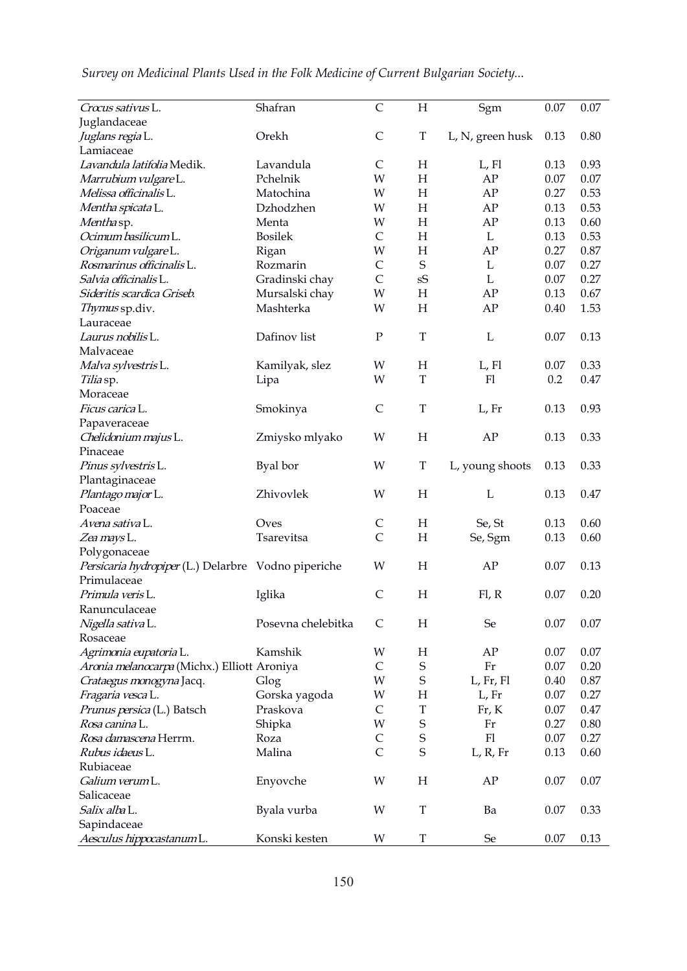| Crocus sativus L.                                   | Shafran            | $\mathsf{C}$ | H                         | Sgm              | 0.07 | 0.07 |
|-----------------------------------------------------|--------------------|--------------|---------------------------|------------------|------|------|
| Juglandaceae                                        |                    |              |                           |                  |      |      |
| <i>Juglans regia</i> L.                             | Orekh              | $\mathsf C$  | $\mathbf T$               | L, N, green husk | 0.13 | 0.80 |
| Lamiaceae                                           |                    |              |                           |                  |      |      |
| Lavandula latifolia Medik.                          | Lavandula          | $\mathsf{C}$ | H                         | L, Fl            | 0.13 | 0.93 |
| Marrubium vulgareL.                                 | Pchelnik           | W            | H                         | AP               | 0.07 | 0.07 |
| Melissa officinalis L.                              | Matochina          | W            | H                         | AP               | 0.27 | 0.53 |
| Mentha spicata L.                                   | Dzhodzhen          | W            | H                         | AP               | 0.13 | 0.53 |
| Menthasp.                                           | Menta              | W            | H                         | ${\rm AP}$       | 0.13 | 0.60 |
| Ocimum basilicum L.                                 | <b>Bosilek</b>     | $\mathsf{C}$ | H                         | L                | 0.13 | 0.53 |
| Origanum vulgareL.                                  | Rigan              | W            | $\boldsymbol{\mathrm{H}}$ | AP               | 0.27 | 0.87 |
| Rosmarinus officinalis L.                           | Rozmarin           | $\mathsf C$  | $\mathbf S$               | L                | 0.07 | 0.27 |
| Salvia officinalis L.                               | Gradinski chay     | $\mathsf{C}$ | sS                        | $\mathbf L$      | 0.07 | 0.27 |
| Sideritis scardica Griseb.                          | Mursalski chay     | W            | $\boldsymbol{\mathrm{H}}$ | AP               | 0.13 | 0.67 |
| Thymus sp.div.                                      | Mashterka          | W            | H                         | AP               | 0.40 | 1.53 |
| Lauraceae                                           |                    |              |                           |                  |      |      |
| Laurus nobilis L.                                   | Dafinov list       | ${\bf P}$    | $\mathbf T$               | $\mathbf L$      | 0.07 | 0.13 |
|                                                     |                    |              |                           |                  |      |      |
| Malvaceae                                           |                    |              |                           |                  |      |      |
| Malva sylvestris L.                                 | Kamilyak, slez     | W            | $H_{\rm}$                 | L, Fl            | 0.07 | 0.33 |
| Tilia sp.                                           | Lipa               | W            | $\mathbf T$               | F1               | 0.2  | 0.47 |
| Moraceae                                            |                    |              |                           |                  |      |      |
| Ficus carica L.                                     | Smokinya           | $\mathsf{C}$ | $\mathbf T$               | L, Fr            | 0.13 | 0.93 |
| Papaveraceae                                        |                    |              |                           |                  |      |      |
| Chelidonium majus L.                                | Zmiysko mlyako     | W            | $\boldsymbol{\mathrm{H}}$ | AP               | 0.13 | 0.33 |
| Pinaceae                                            |                    |              |                           |                  |      |      |
| Pinus sylvestris L.                                 | Byal bor           | W            | $\mathbf T$               | L, young shoots  | 0.13 | 0.33 |
| Plantaginaceae                                      |                    |              |                           |                  |      |      |
| Plantago major L.                                   | Zhivovlek          | W            | H                         | L                | 0.13 | 0.47 |
| Poaceae                                             |                    |              |                           |                  |      |      |
| Avena sativa L.                                     | Oves               | $\mathsf{C}$ | H                         | Se, St           | 0.13 | 0.60 |
| Zea mays L.                                         | Tsarevitsa         | $\mathsf{C}$ | H                         | Se, Sgm          | 0.13 | 0.60 |
| Polygonaceae                                        |                    |              |                           |                  |      |      |
| Persicaria hydropiper (L.) Delarbre Vodno piperiche |                    | W            | H                         | AP               | 0.07 | 0.13 |
| Primulaceae                                         |                    |              |                           |                  |      |      |
| Primula veris L.                                    | Iglika             | $\mathsf{C}$ | H                         | Fl, R            | 0.07 | 0.20 |
| Ranunculaceae                                       |                    |              |                           |                  |      |      |
| Nigella sativa L.                                   | Posevna chelebitka | $\mathsf{C}$ | H                         | Se               | 0.07 | 0.07 |
| Rosaceae                                            |                    |              |                           |                  |      |      |
| Agrimonia eupatoria L.                              | Kamshik            | W            | H                         | AP               | 0.07 | 0.07 |
| Aronia melanocarpa (Michx.) Elliott Aroniya         |                    | $\mathsf{C}$ | $\mathbf S$               | Fr               | 0.07 | 0.20 |
| Crataegus monogyna Jacq.                            | Glog               | W            | $\mathsf S$               | L, Fr, Fl        | 0.40 | 0.87 |
| Fragaria vesca L.                                   | Gorska yagoda      | W            | $H_{\rm}$                 | L, Fr            | 0.07 | 0.27 |
| Prunus persica (L.) Batsch                          | Praskova           | $\mathsf C$  | $\mathbf T$               | Fr, K            | 0.07 | 0.47 |
| Rosa canina L.                                      | Shipka             | W            | $\mathsf S$               | Fr               | 0.27 | 0.80 |
| Rosa damascena Herrm.                               | Roza               | $\mathsf C$  | $\mathbf S$               | F1               | 0.07 | 0.27 |
| Rubus idaeus L.                                     | Malina             | $\mathsf{C}$ | $\mathsf S$               | L, R, Fr         | 0.13 | 0.60 |
| Rubiaceae                                           |                    |              |                           |                  |      |      |
| Galium verum L.                                     |                    | W            | H                         | AP               | 0.07 | 0.07 |
| Salicaceae                                          | Enyovche           |              |                           |                  |      |      |
|                                                     |                    |              |                           |                  |      |      |
| Salix alba L.                                       | Byala vurba        | W            | $\mathbf T$               | Ba               | 0.07 | 0.33 |
| Sapindaceae                                         |                    | W            | $\mathbf T$               | $\rm Se$         |      |      |
| Aesculus hippocastanumL.                            | Konski kesten      |              |                           |                  | 0.07 | 0.13 |

|  | Survey on Medicinal Plants Used in the Folk Medicine of Current Bulgarian Society |  |  |
|--|-----------------------------------------------------------------------------------|--|--|
|  |                                                                                   |  |  |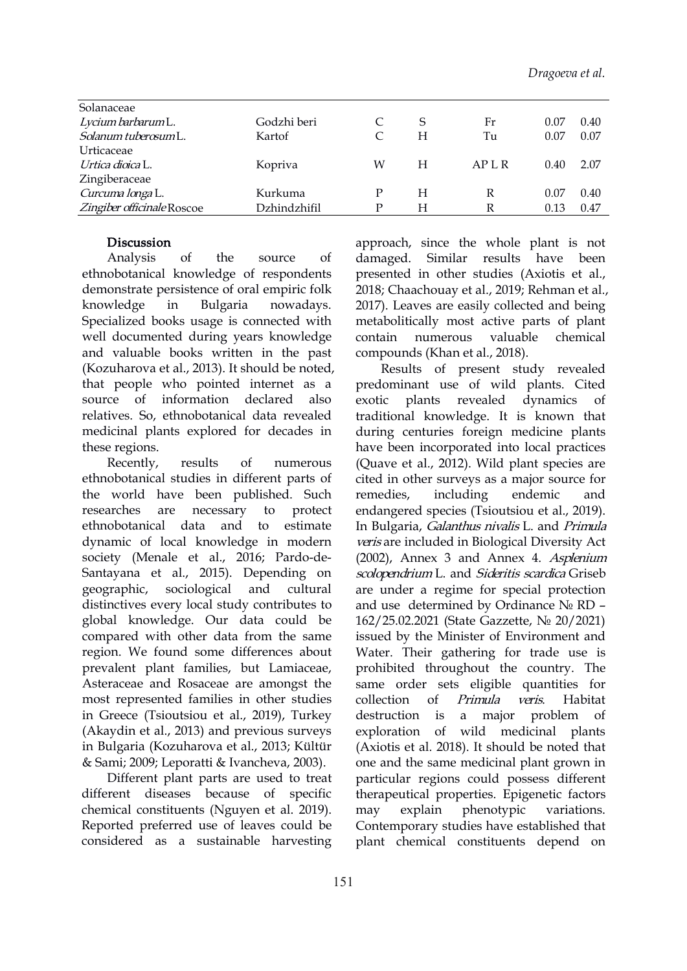| Solanaceae                |              |   |   |        |      |      |
|---------------------------|--------------|---|---|--------|------|------|
| Lycium barbarum L.        | Godzhi beri  |   | S | Fr     | 0.07 | 0.40 |
| Solanum tuberosumL.       | Kartof       |   | H | Tu     | 0.07 | 0.07 |
| Urticaceae                |              |   |   |        |      |      |
| <i>Urtica dioica</i> L.   | Kopriva      | W | H | AP L R | 0.40 | 2.07 |
| Zingiberaceae             |              |   |   |        |      |      |
| Curcuma longa L.          | Kurkuma      |   | H |        | 0.07 | 0.40 |
| Zingiber officinaleRoscoe | Dzhindzhifil | Р | H | R      | 0.13 | 0.47 |
|                           |              |   |   |        |      |      |

#### Discussion

Analysis of the source of damaged. ethnobotanical knowledge of respondents demonstrate persistence of oral empiric folk knowledge in Bulgaria nowadays. Specialized books usage is connected with well documented during years knowledge and valuable books written in the past (Kozuharova et al., 2013). It should be noted, that people who pointed internet as a source of information declared also exotic plants revealed relatives. So, ethnobotanical data revealed medicinal plants explored for decades in these regions.

ethnobotanical studies in different parts of the world have been published. Such researches are necessary to protect ethnobotanical data and to estimate dynamic of local knowledge in modern society (Menale et al., 2016; Pardo-de- Santayana et al., 2015). Depending on geographic, sociological and cultural distinctives every local study contributes to global knowledge. Our data could be compared with other data from the same region. We found some differences about prevalent plant families, but Lamiaceae, Asteraceae and Rosaceae are amongst the most represented families in other studies collection of in Greece (Tsioutsiou et al., 2019), Turkey (Akaydin et al., 2013) and previous surveys in Bulgaria (Kozuharova et al., 2013; Kültür & Sami; 2009; Leporatti & Ivancheva, 2003).

Different plant parts are used to treat different diseases because of specific chemical constituents (Nguyen et al. 2019). may explain Reported preferred use of leaves could be considered as a sustainable harvesting

approach, since the whole plant is not Similar results have been presented in other studies (Axiotis et al., 2018; Chaachouay et al., 2019; Rehman et al., 2017). Leaves are easily collected and being metabolitically most active parts of plant numerous valuable chemical compounds (Khan et al., 2018).

Recently, results of numerous (Quave et al., 2012). Wild plant species are Results of present study revealed predominant use of wild plants. Cited dynamics of traditional knowledge. It is known that during centuries foreign medicine plants have been incorporated into local practices cited in other surveys as a major source for including endemic and endangered species (Tsioutsiou et al., 2019). In Bulgaria, Galanthus nivalis L. and Primula veris are included in Biological Diversity Act (2002), Annex 3 and Annex 4. Asplenium scolopendrium L. and Sideritis scardica Griseb are under a regime for special protection and use determined by Ordinance № RD – 162/25.02.2021 (State Gazzette, № 20/2021) issued by the Minister of Environment and Water. Their gathering for trade use is prohibited throughout the country. The same order sets eligible quantities for collection of Primula veris. Habitat destruction is a major problem of exploration of wild medicinal plants (Axiotis et al. 2018). It should be noted that one and the same medicinal plant grown in particular regions could possess different therapeutical properties. Epigenetic factors phenotypic variations. Contemporary studies have established that plant chemical constituents depend on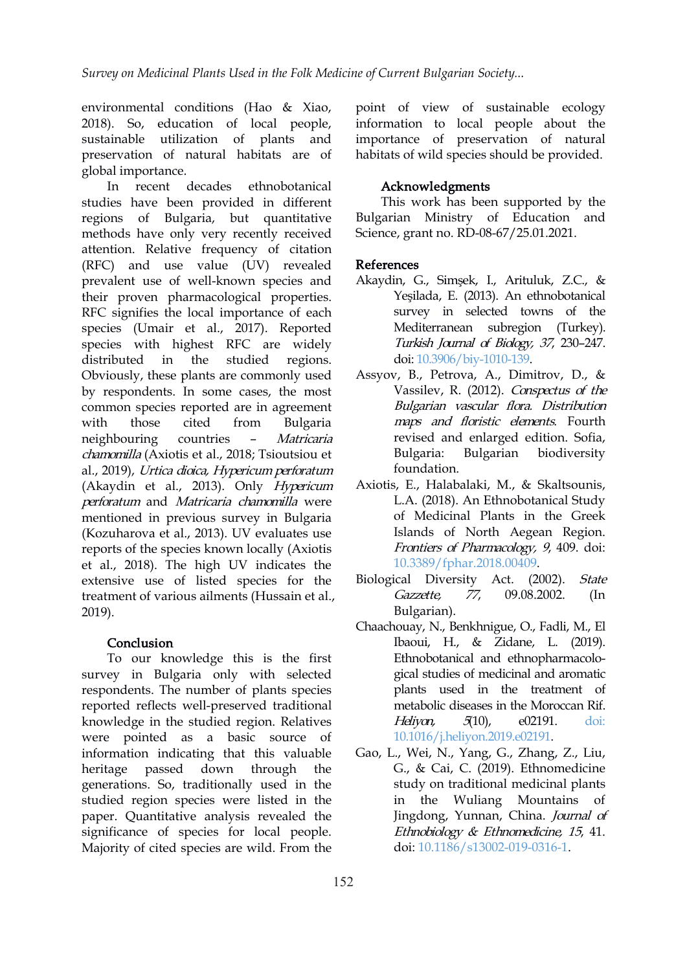environmental conditions (Hao & Xiao, 2018). So, education of local people, sustainable utilization of plants and preservation of natural habitats are of global importance.

In recent decades еthnobotanical studies have been provided in different regions of Bulgaria, but quantitative methods have only very recently received attention. Relative frequency of citation (RFC) and use value (UV) revealed prevalent use of well-known species and their proven pharmacological properties. RFC signifies the local importance of each species (Umair et al., 2017). Reported species with highest RFC are widely distributed in the studied regions. Obviously, these plants are commonly used by respondents. In some cases, the most common species reported are in agreement with those cited from Bulgaria maps and floristic elements. Fourth neighbouring countries – Matricaria chamomilla (Axiotis et al., 2018; Tsioutsiou et al., 2019), Urtica dioica, Hypericum perforatum (Akaydin et al., 2013). Only Hypericum perforatum and Matricaria chamomilla were mentioned in previous survey in Bulgaria (Kozuharova et al., 2013). UV evaluates use reports of the species known locally (Axiotis et al., 2018). The high UV indicates the extensive use of listed species for the treatment of various ailments (Hussain et al., Gazzette, 2019).<br>Conclusion

To our knowledge this is the first survey in Bulgaria only with selected respondents. The number of plants species reported reflects well-preserved traditional knowledge in the studied region. Relatives were pointed as a basic source of information indicating that this valuable heritage passed down through the generations. So, traditionally used in the studied region species were listed in the paper. Quantitative analysis revealed the significance of species for local people. Majority of cited species are wild. From the doi: 10.1186/s13002-019-0316-1.

point of view of sustainable ecology information to local people about the importance of preservation of natural habitats of wild species should be provided.

## Acknowledgments

This work has been supported by the Bulgarian Ministry of Education and Science, grant no. RD-08-67/25.01.2021.

### References

- Akaydin, G., Simşek, I., Arituluk, Z.C., & Yeşilada, E. (2013). An ethnobotanical survey in selected towns of the Mediterranean subregion (Turkey). Turkish Journal of Biology, <sup>37</sup>, 230–247. doi: [10.3906/biy-1010-139.](https://doi.org/10.3906/biy-1010-139)
- Assyov, B., Petrova, A., Dimitrov, D., & Vassilev, R. (2012). Conspectus of the Bulgarian vascular flora. Distribution revised and enlarged edition. Sofia, biodiversity foundation.
- Axiotis, E., Halabalaki, M., & Skaltsounis, L.A. (2018). An Ethnobotanical Study of Medicinal Plants in the Greek Islands of North Aegean Region. Frontiers of Pharmacology, <sup>9</sup>, 409. doi: [10.3389/fphar.2018.00409](https://doi.org/10.3389/fphar.2018.00409).
- Biological Diversity Act. (2002). State 77, 09.08.2002. (In Bulgarian).
- Chaachouay, N., Benkhnigue, O., Fadli, M., El Ibaoui, H., & Zidane, L. (2019). Ethnobotanical and ethnopharmacolo gical studies of medicinal and aromatic plants used in the treatment of metabolic diseases in the Moroccan Rif. Heliyan, 5(10), e02191. [doi:](https://doi.org/10.1016/j.heliyon.2019.e02191) 10.1016/j.heliyon.2019.e02191.
- Gao, L., Wei, N., Yang, G., Zhang, Z., Liu, G., & Cai, C. (2019). Ethnomedicine study on traditional medicinal plants in the Wuliang Mountains of Jingdong, Yunnan, China. Journal of Ethnobiology & Ethnomedicine, 15, 41.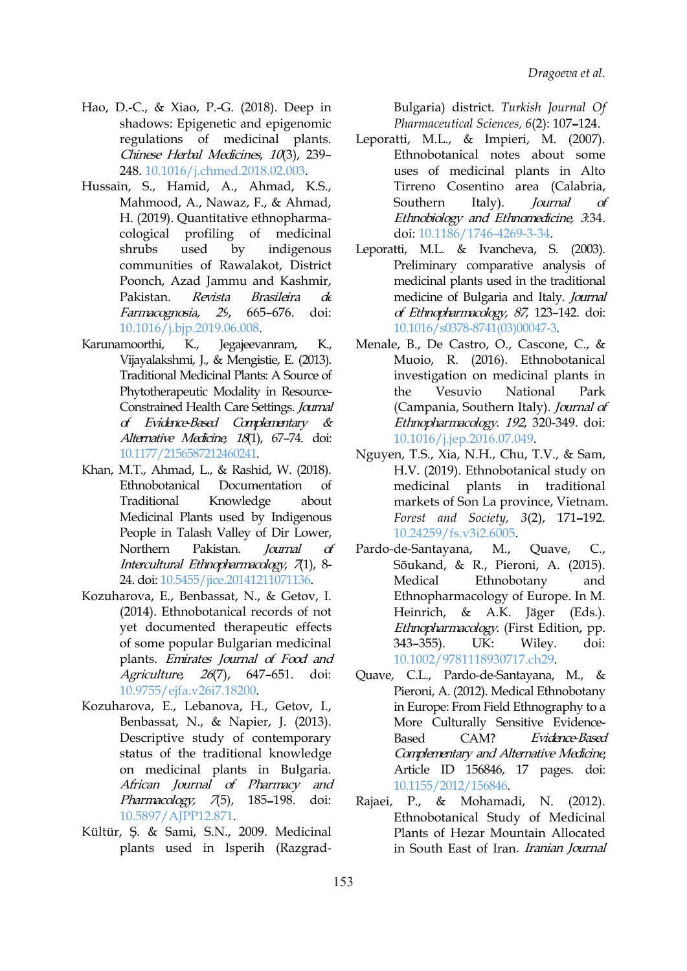- Hao, D.-C., & Xiao, P.-G. (2018). Deep in shadows: Epigenetic and epigenomic regulations of medicinal plants. Chinese Herbal Medicines, 10(3), 239– 248. [10.1016/j.chmed.2018.02.003](https://doi.org/10.1016/j.chmed.2018.02.003).
- Hussain, S., Hamid, A., Ahmad, K.S., Mahmood, A., Nawaz, F., & Ahmad, H. (2019). Quantitative ethnopharma cological profiling of medicinal communities of Rawalakot, District Poonch, Azad Jammu and Kashmir, Farmacognosia, <sup>29</sup>, 665–676. doi: [10.1016/j.bjp.2019.06.008.](https://doi.org/10.1016/j.bjp.2019.06.008)
- Karunamoorthi, K., Jegajeevanram, K., Vijayalakshmi, J., & Mengistie, E. (2013). Traditional Medicinal Plants: A Source of Phytotherapeutic Modality in Resource- Constrained Health Care Settings. Journal of Evidence-Based Complementary & Alternative Medicine, 18(1), 67-74. doi: [10.1177/2156587212460241](http://dx.doi.org/10.1177/2156587212460241).
- Khan, M.T., Ahmad, L., & Rashid, W. (2018). Ethnobotanical Documentation of Traditional Knowledge about Medicinal Plants used by Indigenous People in Talash Valley of Dir Lower, Intercultural Ethnopharmacology, 7(1), 8-24. doi: [10.5455/jice.20141211071136](https://doi.org/10.5455/jice.20141211071136).
- Kozuharova, E., Benbassat, N., & Getov, I. (2014). Ethnobotanical records of not yet documented therapeutic effects of some popular Bulgarian medicinal plants. Emirates Journal of Food and Agriculture, <sup>26</sup>(7), 647–651. doi: [10.9755/ejfa.v26i7.18200](http://dx.doi.org/10.9755/ejfa.v26i7.18200).
- Kozuharova, E., Lebanova, H., Getov, I., Benbassat, N., & Napier, J. (2013). Descriptive study of contemporary Based CAM? status of the traditional knowledge on medicinal plants in Bulgaria. African Journal of Pharmacy and  $Pharmacology, 75, 185-198.$  doi: Rajaei, [10.5897/AJPP12.871.](https://doi.org/10.5897/AJPP12.871)
- Kültür, Ş. & Sami, S.N., 2009. Medicinal plants used in Isperih (Razgrad-

Bulgaria) district. *Turkish Journal Of Pharmaceutical Sciences, 6*(2): 107–124.

- Leporatti, M.L., & Impieri, M. (2007). Ethnobotanical notes about some uses of medicinal plants in Alto Tirreno Cosentino area (Calabria, Southern Italy). *Journal of* Ethnobiology and Ethnomedicine, <sup>3</sup>:34. doi: [10.1186/1746-4269-3-34.](https://doi.org/10.1186/1746-4269-3-34)
- shrubs used by indigenous Leporatti, M.L. & Ivancheva, S. (2003). Pakistan. *Revista Brasileira d*e medicine of Bulgaria and Italy. *Journal* Preliminary comparative analysis of medicinal plants used in the traditional of Ethnopharmacology, <sup>87</sup>, 123–142. doi: [10.1016/s0378-8741\(03\)00047-3](https://doi.org/10.1016/s0378-8741(03)00047-3).
	- Menale, B., De Castro, O., Cascone, C., & Muoio, R. (2016). Ethnobotanical investigation on medicinal plants in Vesuvio National Park (Campania, Southern Italy). Journal of Ethnopharmacology. <sup>192</sup>, 320-349. doi: [10.1016/j.jep.2016.07.049](https://doi.org/10.1016/j.jep.2016.07.049).
	- Nguyen, T.S., Xia, N.H., Chu, T.V., & Sam, H.V. (2019). Ethnobotanical study on medicinal plants in traditional markets of Son La province, Vietnam. *Forest and Society, 3*(2), 171–192. [10.24259/fs.v3i2.6005](https://doi.org/10.24259/fs.v3i2.6005).
- Northern Pakistan. *Journal of* Pardo-de-Santayana, M., Quave, C., Sõukand, & R., Pieroni, A. (2015). Medical Ethnobotany and Ethnopharmacology of Europe. In M. Heinrich, & A.K. Jäger (Eds.). Ethnopharmacology. (First Edition, pp. 343–355). UK: Wiley. doi: [10.1002/9781118930717.ch29](https://doi.org/10.1002/9781118930717.ch29).
	- Quave, C.L., Pardo-de-Santayana, M., & Pieroni, A. (2012). Medical Ethnobotany in Europe: From Field Ethnography to a More Culturally Sensitive Evidence- Evidence-Based Complementary and Alternative Medicine, Article ID 156846, 17 pages. doi: [10.1155/2012/156846.](https://doi.org/10.1155/2012/156846)
	- P., & Mohamadi, N. (2012). Ethnobotanical Study of Medicinal Plants of Hezar Mountain Allocated in South East of Iran. Iranian Journal